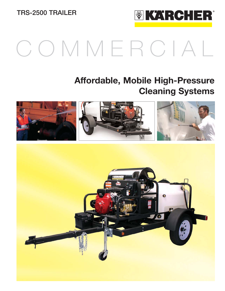**TRS-2500 TRAILER**



# COMMERCIAL

## **Affordable, Mobile High-Pressure Cleaning Systems**